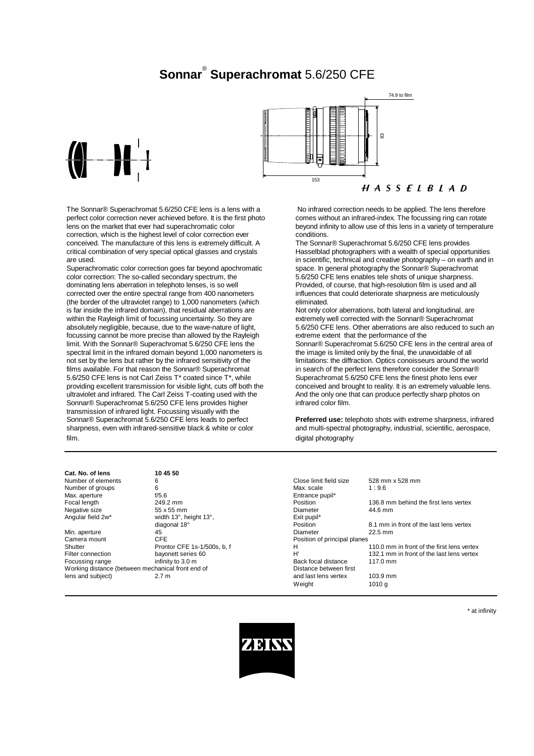# **Sonnar**® **Superachromat** 5.6/250 CFE



The Sonnar® Superachromat 5.6/250 CFE lens is a lens with a perfect color correction never achieved before. It is the first photo lens on the market that ever had superachromatic color correction, which is the highest level of color correction ever conceived. The manufacture of this lens is extremely difficult. A critical combination of very special optical glasses and crystals are used.

Superachromatic color correction goes far beyond apochromatic color correction: The so-called secondary spectrum, the dominating lens aberration in telephoto lenses, is so well corrected over the entire spectral range from 400 nanometers (the border of the ultraviolet range) to 1,000 nanometers (which is far inside the infrared domain), that residual aberrations are within the Rayleigh limit of focussing uncertainty. So they are absolutely negligible, because, due to the wave-nature of light, focussing cannot be more precise than allowed by the Rayleigh limit. With the Sonnar® Superachromat 5.6/250 CFE lens the spectral limit in the infrared domain beyond 1,000 nanometers is not set by the lens but rather by the infrared sensitivity of the films available. For that reason the Sonnar® Superachromat 5.6/250 CFE lens is not Carl Zeiss T\* coated since T\*, while providing excellent transmission for visible light, cuts off both the ultraviolet and infrared. The Carl Zeiss T-coating used with the Sonnar® Superachromat 5.6/250 CFE lens provides higher transmission of infrared light. Focussing visually with the Sonnar® Superachromat 5.6/250 CFE lens leads to perfect sharpness, even with infrared-sensitive black & white or color film.



 No infrared correction needs to be applied. The lens therefore comes without an infrared-index. The focussing ring can rotate beyond infinity to allow use of this lens in a variety of temperature conditions.

The Sonnar® Superachromat 5.6/250 CFE lens provides Hasselblad photographers with a wealth of special opportunities in scientific, technical and creative photography – on earth and in space. In general photography the Sonnar® Superachromat 5.6/250 CFE lens enables tele shots of unique sharpness. Provided, of course, that high-resolution film is used and all influences that could deteriorate sharpness are meticulously eliminated.

Not only color aberrations, both lateral and longitudinal, are extremely well corrected with the Sonnar® Superachromat 5.6/250 CFE lens. Other aberrations are also reduced to such an extreme extent that the performance of the Sonnar® Superachromat 5.6/250 CFE lens in the central area of the image is limited only by the final, the unavoidable of all limitations: the diffraction. Optics conoisseurs around the world in search of the perfect lens therefore consider the Sonnar® Superachromat 5.6/250 CFE lens the finest photo lens ever conceived and brought to reality. It is an extremely valuable lens. And the only one that can produce perfectly sharp photos on infrared color film.

**Preferred use:** telephoto shots with extreme sharpness, infrared and multi-spectral photography, industrial, scientific, aerospace, digital photography

#### **Cat. No. of lens 10 45 50**

| Number of elements                                | 6                            | Close limit field size       | 528 mm x 528 mm                            |
|---------------------------------------------------|------------------------------|------------------------------|--------------------------------------------|
| Number of groups                                  | 6                            | Max. scale                   | 1:9.6                                      |
| Max. aperture                                     | f/5.6                        | Entrance pupil*              |                                            |
| Focal length                                      | 249.2 mm                     | Position                     | 136.8 mm behind the first lens vertex      |
| Negative size                                     | 55 x 55 mm                   | Diameter                     | 44.6 mm                                    |
| Angular field 2w*                                 | width 13°, height 13°,       | Exit pupil*                  |                                            |
|                                                   | diagonal 18°                 | Position                     | 8.1 mm in front of the last lens vertex    |
| Min. aperture                                     | 45                           | Diameter                     | $22.5$ mm                                  |
| Camera mount                                      | <b>CFE</b>                   | Position of principal planes |                                            |
| Shutter                                           | Prontor CFE 1s-1/500s, b. f. | н                            | 110.0 mm in front of the first lens vertex |
| Filter connection                                 | bayonett series 60           | H                            | 132.1 mm in front of the last lens vertex  |
| Focussing range                                   | infinity to 3.0 m            | Back focal distance          | $117.0 \text{ mm}$                         |
| Working distance (between mechanical front end of |                              | Distance between first       |                                            |
| lens and subject)                                 | 2.7 <sub>m</sub>             | and last lens vertex         | 103.9 mm                                   |
|                                                   |                              | Weight                       | 1010a                                      |
|                                                   |                              |                              |                                            |

\* at infinity